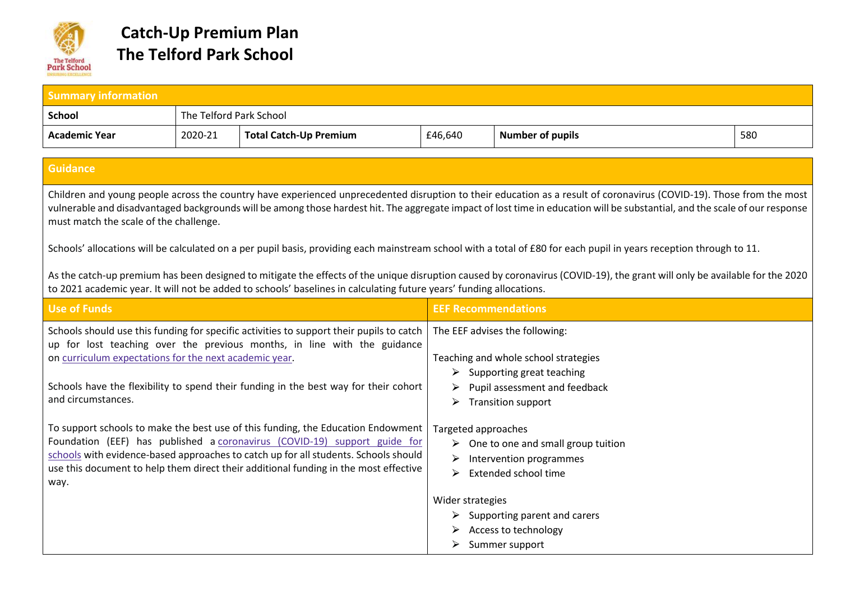

| <b>Summary information</b>                                                                                                                                                                                                                                                                                                                                                                                                                                                                                                                                                                                                                                                                                                                         |                         |                                                                                                                                                                                                                                                                                                                                              |                               |                                                                                                                      |     |
|----------------------------------------------------------------------------------------------------------------------------------------------------------------------------------------------------------------------------------------------------------------------------------------------------------------------------------------------------------------------------------------------------------------------------------------------------------------------------------------------------------------------------------------------------------------------------------------------------------------------------------------------------------------------------------------------------------------------------------------------------|-------------------------|----------------------------------------------------------------------------------------------------------------------------------------------------------------------------------------------------------------------------------------------------------------------------------------------------------------------------------------------|-------------------------------|----------------------------------------------------------------------------------------------------------------------|-----|
| <b>School</b>                                                                                                                                                                                                                                                                                                                                                                                                                                                                                                                                                                                                                                                                                                                                      | The Telford Park School |                                                                                                                                                                                                                                                                                                                                              |                               |                                                                                                                      |     |
| <b>Academic Year</b>                                                                                                                                                                                                                                                                                                                                                                                                                                                                                                                                                                                                                                                                                                                               | 2020-21                 | <b>Total Catch-Up Premium</b>                                                                                                                                                                                                                                                                                                                | £46,640                       | <b>Number of pupils</b>                                                                                              | 580 |
|                                                                                                                                                                                                                                                                                                                                                                                                                                                                                                                                                                                                                                                                                                                                                    |                         |                                                                                                                                                                                                                                                                                                                                              |                               |                                                                                                                      |     |
| <b>Guidance</b>                                                                                                                                                                                                                                                                                                                                                                                                                                                                                                                                                                                                                                                                                                                                    |                         |                                                                                                                                                                                                                                                                                                                                              |                               |                                                                                                                      |     |
| Children and young people across the country have experienced unprecedented disruption to their education as a result of coronavirus (COVID-19). Those from the most<br>vulnerable and disadvantaged backgrounds will be among those hardest hit. The aggregate impact of lost time in education will be substantial, and the scale of our response<br>must match the scale of the challenge.<br>Schools' allocations will be calculated on a per pupil basis, providing each mainstream school with a total of £80 for each pupil in years reception through to 11.<br>As the catch-up premium has been designed to mitigate the effects of the unique disruption caused by coronavirus (COVID-19), the grant will only be available for the 2020 |                         |                                                                                                                                                                                                                                                                                                                                              |                               |                                                                                                                      |     |
|                                                                                                                                                                                                                                                                                                                                                                                                                                                                                                                                                                                                                                                                                                                                                    |                         | to 2021 academic year. It will not be added to schools' baselines in calculating future years' funding allocations.                                                                                                                                                                                                                          |                               |                                                                                                                      |     |
| <b>Use of Funds</b>                                                                                                                                                                                                                                                                                                                                                                                                                                                                                                                                                                                                                                                                                                                                |                         |                                                                                                                                                                                                                                                                                                                                              | <b>EEF Recommendations</b>    |                                                                                                                      |     |
| on curriculum expectations for the next academic year.                                                                                                                                                                                                                                                                                                                                                                                                                                                                                                                                                                                                                                                                                             |                         | Schools should use this funding for specific activities to support their pupils to catch<br>up for lost teaching over the previous months, in line with the guidance                                                                                                                                                                         |                               | The EEF advises the following:<br>Teaching and whole school strategies<br>$\triangleright$ Supporting great teaching |     |
| and circumstances.                                                                                                                                                                                                                                                                                                                                                                                                                                                                                                                                                                                                                                                                                                                                 |                         | Schools have the flexibility to spend their funding in the best way for their cohort                                                                                                                                                                                                                                                         | ➤                             | Pupil assessment and feedback<br><b>Transition support</b>                                                           |     |
| way.                                                                                                                                                                                                                                                                                                                                                                                                                                                                                                                                                                                                                                                                                                                                               |                         | To support schools to make the best use of this funding, the Education Endowment<br>Foundation (EEF) has published a coronavirus (COVID-19) support guide for<br>schools with evidence-based approaches to catch up for all students. Schools should<br>use this document to help them direct their additional funding in the most effective | Targeted approaches<br>➤<br>➤ | $\triangleright$ One to one and small group tuition<br>Intervention programmes<br>Extended school time               |     |
|                                                                                                                                                                                                                                                                                                                                                                                                                                                                                                                                                                                                                                                                                                                                                    |                         |                                                                                                                                                                                                                                                                                                                                              | Wider strategies              | Supporting parent and carers                                                                                         |     |
|                                                                                                                                                                                                                                                                                                                                                                                                                                                                                                                                                                                                                                                                                                                                                    |                         |                                                                                                                                                                                                                                                                                                                                              |                               | Access to technology<br>$\triangleright$ Summer support                                                              |     |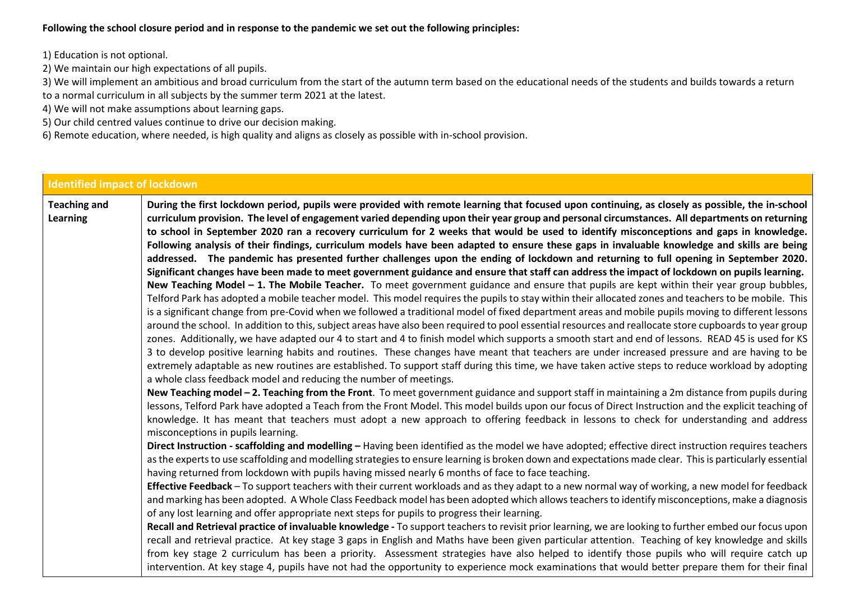**Following the school closure period and in response to the pandemic we set out the following principles:** 

1) Education is not optional.

- 2) We maintain our high expectations of all pupils.
- 3) We will implement an ambitious and broad curriculum from the start of the autumn term based on the educational needs of the students and builds towards a return to a normal curriculum in all subjects by the summer term 2021 at the latest.
- 4) We will not make assumptions about learning gaps.
- 5) Our child centred values continue to drive our decision making.
- 6) Remote education, where needed, is high quality and aligns as closely as possible with in-school provision.

| <b>Identified impact of lockdown</b> |                                                                                                                                                                                                                                                                                                                                                                                                                                                                                                                                                                                                                                                                                                                                                                                                                                                                                                                                                                                                                                                                                                                                                                                                                                                                                                                                                                                                                                                                                                                                                                                                                                                                                                                                                                                                                                                                                                                                                                                                                                                                                                                                                                                                                                                                                                                                                                                                                                                                                                                                                                                                                                                                                                                                                                                                                                                                                                                                                                                                                                                                                                                                                                                                                                                                                                                                                                                                                                                                                                                          |
|--------------------------------------|--------------------------------------------------------------------------------------------------------------------------------------------------------------------------------------------------------------------------------------------------------------------------------------------------------------------------------------------------------------------------------------------------------------------------------------------------------------------------------------------------------------------------------------------------------------------------------------------------------------------------------------------------------------------------------------------------------------------------------------------------------------------------------------------------------------------------------------------------------------------------------------------------------------------------------------------------------------------------------------------------------------------------------------------------------------------------------------------------------------------------------------------------------------------------------------------------------------------------------------------------------------------------------------------------------------------------------------------------------------------------------------------------------------------------------------------------------------------------------------------------------------------------------------------------------------------------------------------------------------------------------------------------------------------------------------------------------------------------------------------------------------------------------------------------------------------------------------------------------------------------------------------------------------------------------------------------------------------------------------------------------------------------------------------------------------------------------------------------------------------------------------------------------------------------------------------------------------------------------------------------------------------------------------------------------------------------------------------------------------------------------------------------------------------------------------------------------------------------------------------------------------------------------------------------------------------------------------------------------------------------------------------------------------------------------------------------------------------------------------------------------------------------------------------------------------------------------------------------------------------------------------------------------------------------------------------------------------------------------------------------------------------------------------------------------------------------------------------------------------------------------------------------------------------------------------------------------------------------------------------------------------------------------------------------------------------------------------------------------------------------------------------------------------------------------------------------------------------------------------------------------------------------|
| <b>Teaching and</b><br>Learning      | During the first lockdown period, pupils were provided with remote learning that focused upon continuing, as closely as possible, the in-school<br>curriculum provision. The level of engagement varied depending upon their year group and personal circumstances. All departments on returning<br>to school in September 2020 ran a recovery curriculum for 2 weeks that would be used to identify misconceptions and gaps in knowledge.<br>Following analysis of their findings, curriculum models have been adapted to ensure these gaps in invaluable knowledge and skills are being<br>addressed. The pandemic has presented further challenges upon the ending of lockdown and returning to full opening in September 2020.<br>Significant changes have been made to meet government guidance and ensure that staff can address the impact of lockdown on pupils learning.<br>New Teaching Model - 1. The Mobile Teacher. To meet government guidance and ensure that pupils are kept within their year group bubbles,<br>Telford Park has adopted a mobile teacher model. This model requires the pupils to stay within their allocated zones and teachers to be mobile. This<br>is a significant change from pre-Covid when we followed a traditional model of fixed department areas and mobile pupils moving to different lessons<br>around the school. In addition to this, subject areas have also been required to pool essential resources and reallocate store cupboards to year group<br>zones. Additionally, we have adapted our 4 to start and 4 to finish model which supports a smooth start and end of lessons. READ 45 is used for KS<br>3 to develop positive learning habits and routines. These changes have meant that teachers are under increased pressure and are having to be<br>extremely adaptable as new routines are established. To support staff during this time, we have taken active steps to reduce workload by adopting<br>a whole class feedback model and reducing the number of meetings.<br>New Teaching model - 2. Teaching from the Front. To meet government guidance and support staff in maintaining a 2m distance from pupils during<br>lessons, Telford Park have adopted a Teach from the Front Model. This model builds upon our focus of Direct Instruction and the explicit teaching of<br>knowledge. It has meant that teachers must adopt a new approach to offering feedback in lessons to check for understanding and address<br>misconceptions in pupils learning.<br>Direct Instruction - scaffolding and modelling - Having been identified as the model we have adopted; effective direct instruction requires teachers<br>as the experts to use scaffolding and modelling strategies to ensure learning is broken down and expectations made clear. This is particularly essential<br>having returned from lockdown with pupils having missed nearly 6 months of face to face teaching.<br>Effective Feedback - To support teachers with their current workloads and as they adapt to a new normal way of working, a new model for feedback<br>and marking has been adopted. A Whole Class Feedback model has been adopted which allows teachers to identify misconceptions, make a diagnosis<br>of any lost learning and offer appropriate next steps for pupils to progress their learning.<br>Recall and Retrieval practice of invaluable knowledge - To support teachers to revisit prior learning, we are looking to further embed our focus upon |
|                                      | recall and retrieval practice. At key stage 3 gaps in English and Maths have been given particular attention. Teaching of key knowledge and skills<br>from key stage 2 curriculum has been a priority. Assessment strategies have also helped to identify those pupils who will require catch up<br>intervention. At key stage 4, pupils have not had the opportunity to experience mock examinations that would better prepare them for their final                                                                                                                                                                                                                                                                                                                                                                                                                                                                                                                                                                                                                                                                                                                                                                                                                                                                                                                                                                                                                                                                                                                                                                                                                                                                                                                                                                                                                                                                                                                                                                                                                                                                                                                                                                                                                                                                                                                                                                                                                                                                                                                                                                                                                                                                                                                                                                                                                                                                                                                                                                                                                                                                                                                                                                                                                                                                                                                                                                                                                                                                     |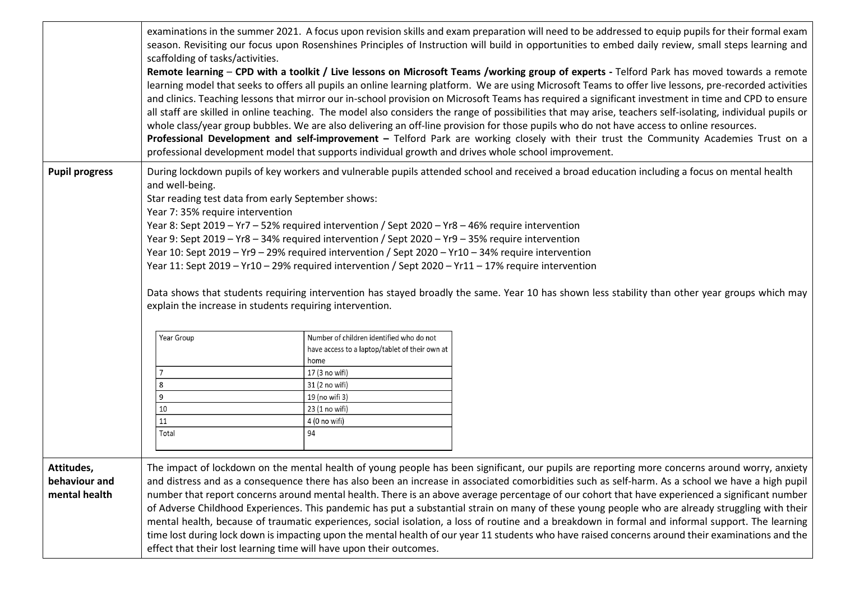|                                              | scaffolding of tasks/activities.                    | examinations in the summer 2021. A focus upon revision skills and exam preparation will need to be addressed to equip pupils for their formal exam<br>season. Revisiting our focus upon Rosenshines Principles of Instruction will build in opportunities to embed daily review, small steps learning and<br>Remote learning - CPD with a toolkit / Live lessons on Microsoft Teams /working group of experts - Telford Park has moved towards a remote<br>learning model that seeks to offers all pupils an online learning platform. We are using Microsoft Teams to offer live lessons, pre-recorded activities<br>and clinics. Teaching lessons that mirror our in-school provision on Microsoft Teams has required a significant investment in time and CPD to ensure<br>all staff are skilled in online teaching. The model also considers the range of possibilities that may arise, teachers self-isolating, individual pupils or<br>whole class/year group bubbles. We are also delivering an off-line provision for those pupils who do not have access to online resources.<br>Professional Development and self-improvement - Telford Park are working closely with their trust the Community Academies Trust on a<br>professional development model that supports individual growth and drives whole school improvement. |
|----------------------------------------------|-----------------------------------------------------|---------------------------------------------------------------------------------------------------------------------------------------------------------------------------------------------------------------------------------------------------------------------------------------------------------------------------------------------------------------------------------------------------------------------------------------------------------------------------------------------------------------------------------------------------------------------------------------------------------------------------------------------------------------------------------------------------------------------------------------------------------------------------------------------------------------------------------------------------------------------------------------------------------------------------------------------------------------------------------------------------------------------------------------------------------------------------------------------------------------------------------------------------------------------------------------------------------------------------------------------------------------------------------------------------------------------------------------|
| <b>Pupil progress</b>                        | and well-being.<br>Year 7: 35% require intervention | During lockdown pupils of key workers and vulnerable pupils attended school and received a broad education including a focus on mental health<br>Star reading test data from early September shows:<br>Year 8: Sept 2019 - Yr7 - 52% required intervention / Sept 2020 - Yr8 - 46% require intervention<br>Year 9: Sept 2019 - Yr8 - 34% required intervention / Sept 2020 - Yr9 - 35% require intervention<br>Year 10: Sept 2019 - Yr9 - 29% required intervention / Sept 2020 - Yr10 - 34% require intervention<br>Year 11: Sept 2019 - Yr10 - 29% required intervention / Sept 2020 - Yr11 - 17% require intervention<br>Data shows that students requiring intervention has stayed broadly the same. Year 10 has shown less stability than other year groups which may<br>explain the increase in students requiring intervention.                                                                                                                                                                                                                                                                                                                                                                                                                                                                                                |
|                                              | Year Group<br>8<br>9<br>10<br>11<br>Total           | Number of children identified who do not<br>have access to a laptop/tablet of their own at<br>home<br>17 (3 no wifi)<br>31 (2 no wifi)<br>19 (no wifi 3)<br>23 (1 no wifi)<br>4 (0 no wifi)<br>94                                                                                                                                                                                                                                                                                                                                                                                                                                                                                                                                                                                                                                                                                                                                                                                                                                                                                                                                                                                                                                                                                                                                     |
| Attitudes,<br>behaviour and<br>mental health |                                                     | The impact of lockdown on the mental health of young people has been significant, our pupils are reporting more concerns around worry, anxiety<br>and distress and as a consequence there has also been an increase in associated comorbidities such as self-harm. As a school we have a high pupil<br>number that report concerns around mental health. There is an above average percentage of our cohort that have experienced a significant number<br>of Adverse Childhood Experiences. This pandemic has put a substantial strain on many of these young people who are already struggling with their<br>mental health, because of traumatic experiences, social isolation, a loss of routine and a breakdown in formal and informal support. The learning<br>time lost during lock down is impacting upon the mental health of our year 11 students who have raised concerns around their examinations and the<br>effect that their lost learning time will have upon their outcomes.                                                                                                                                                                                                                                                                                                                                           |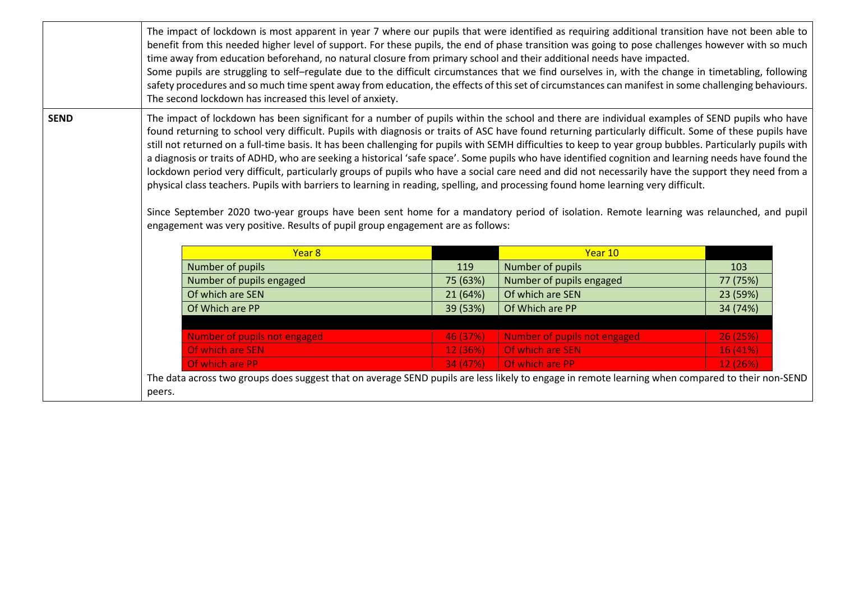|             | The impact of lockdown is most apparent in year 7 where our pupils that were identified as requiring additional transition have not been able to<br>benefit from this needed higher level of support. For these pupils, the end of phase transition was going to pose challenges however with so much<br>time away from education beforehand, no natural closure from primary school and their additional needs have impacted.<br>Some pupils are struggling to self-regulate due to the difficult circumstances that we find ourselves in, with the change in timetabling, following<br>safety procedures and so much time spent away from education, the effects of this set of circumstances can manifest in some challenging behaviours.<br>The second lockdown has increased this level of anxiety.                                                                                                                                                                                                                                                                                                                                                    |          |                              |          |
|-------------|-------------------------------------------------------------------------------------------------------------------------------------------------------------------------------------------------------------------------------------------------------------------------------------------------------------------------------------------------------------------------------------------------------------------------------------------------------------------------------------------------------------------------------------------------------------------------------------------------------------------------------------------------------------------------------------------------------------------------------------------------------------------------------------------------------------------------------------------------------------------------------------------------------------------------------------------------------------------------------------------------------------------------------------------------------------------------------------------------------------------------------------------------------------|----------|------------------------------|----------|
| <b>SEND</b> | The impact of lockdown has been significant for a number of pupils within the school and there are individual examples of SEND pupils who have<br>found returning to school very difficult. Pupils with diagnosis or traits of ASC have found returning particularly difficult. Some of these pupils have<br>still not returned on a full-time basis. It has been challenging for pupils with SEMH difficulties to keep to year group bubbles. Particularly pupils with<br>a diagnosis or traits of ADHD, who are seeking a historical 'safe space'. Some pupils who have identified cognition and learning needs have found the<br>lockdown period very difficult, particularly groups of pupils who have a social care need and did not necessarily have the support they need from a<br>physical class teachers. Pupils with barriers to learning in reading, spelling, and processing found home learning very difficult.<br>Since September 2020 two-year groups have been sent home for a mandatory period of isolation. Remote learning was relaunched, and pupil<br>engagement was very positive. Results of pupil group engagement are as follows: |          |                              |          |
|             | Year 8                                                                                                                                                                                                                                                                                                                                                                                                                                                                                                                                                                                                                                                                                                                                                                                                                                                                                                                                                                                                                                                                                                                                                      |          | Year 10                      |          |
|             | Number of pupils                                                                                                                                                                                                                                                                                                                                                                                                                                                                                                                                                                                                                                                                                                                                                                                                                                                                                                                                                                                                                                                                                                                                            | 119      | Number of pupils             | 103      |
|             | Number of pupils engaged                                                                                                                                                                                                                                                                                                                                                                                                                                                                                                                                                                                                                                                                                                                                                                                                                                                                                                                                                                                                                                                                                                                                    | 75 (63%) | Number of pupils engaged     | 77 (75%) |
|             | Of which are SEN                                                                                                                                                                                                                                                                                                                                                                                                                                                                                                                                                                                                                                                                                                                                                                                                                                                                                                                                                                                                                                                                                                                                            | 21 (64%) | Of which are SEN             | 23 (59%) |
|             | Of Which are PP                                                                                                                                                                                                                                                                                                                                                                                                                                                                                                                                                                                                                                                                                                                                                                                                                                                                                                                                                                                                                                                                                                                                             | 39 (53%) | Of Which are PP              | 34 (74%) |
|             |                                                                                                                                                                                                                                                                                                                                                                                                                                                                                                                                                                                                                                                                                                                                                                                                                                                                                                                                                                                                                                                                                                                                                             |          |                              |          |
|             | <b>Number of pupils not engaged</b>                                                                                                                                                                                                                                                                                                                                                                                                                                                                                                                                                                                                                                                                                                                                                                                                                                                                                                                                                                                                                                                                                                                         | 46 (37%) | Number of pupils not engaged | 26(25%)  |
|             | Of which are SEN                                                                                                                                                                                                                                                                                                                                                                                                                                                                                                                                                                                                                                                                                                                                                                                                                                                                                                                                                                                                                                                                                                                                            | 12 (36%) | Of which are SEN             | 16 (41%) |
|             | Of which are PP                                                                                                                                                                                                                                                                                                                                                                                                                                                                                                                                                                                                                                                                                                                                                                                                                                                                                                                                                                                                                                                                                                                                             | 34 (47%) | Of which are PP              | 12 (26%) |
|             | The data across two groups does suggest that on average SEND pupils are less likely to engage in remote learning when compared to their non-SEND                                                                                                                                                                                                                                                                                                                                                                                                                                                                                                                                                                                                                                                                                                                                                                                                                                                                                                                                                                                                            |          |                              |          |
|             | peers.                                                                                                                                                                                                                                                                                                                                                                                                                                                                                                                                                                                                                                                                                                                                                                                                                                                                                                                                                                                                                                                                                                                                                      |          |                              |          |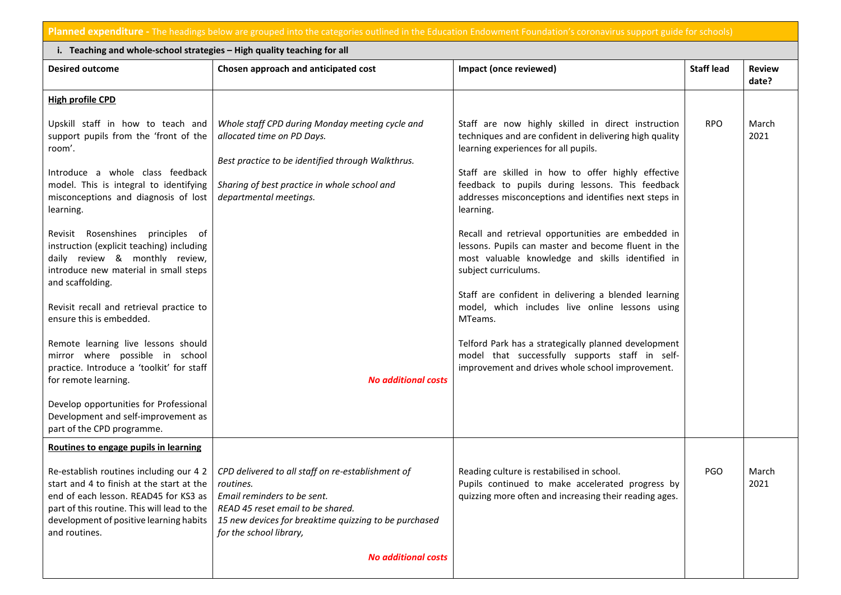**Planned expenditure -** The headings below are grouped into the categories outlined in the Education Endowment Foundation's coronavirus support guide for schools)

| i. Teaching and whole-school strategies - High quality teaching for all                                                                                                                                                                  |                                                                                                                                                                                                                        |                                                                                                                                                                                                                                                                                                                                       |                   |                        |  |  |  |
|------------------------------------------------------------------------------------------------------------------------------------------------------------------------------------------------------------------------------------------|------------------------------------------------------------------------------------------------------------------------------------------------------------------------------------------------------------------------|---------------------------------------------------------------------------------------------------------------------------------------------------------------------------------------------------------------------------------------------------------------------------------------------------------------------------------------|-------------------|------------------------|--|--|--|
| <b>Desired outcome</b>                                                                                                                                                                                                                   | Chosen approach and anticipated cost                                                                                                                                                                                   | Impact (once reviewed)                                                                                                                                                                                                                                                                                                                | <b>Staff lead</b> | <b>Review</b><br>date? |  |  |  |
| <b>High profile CPD</b>                                                                                                                                                                                                                  |                                                                                                                                                                                                                        |                                                                                                                                                                                                                                                                                                                                       |                   |                        |  |  |  |
| Upskill staff in how to teach and<br>support pupils from the 'front of the<br>room'.<br>Introduce a whole class feedback<br>model. This is integral to identifying<br>misconceptions and diagnosis of lost<br>learning.                  | Whole staff CPD during Monday meeting cycle and<br>allocated time on PD Days.<br>Best practice to be identified through Walkthrus.<br>Sharing of best practice in whole school and<br>departmental meetings.           | Staff are now highly skilled in direct instruction<br>techniques and are confident in delivering high quality<br>learning experiences for all pupils.<br>Staff are skilled in how to offer highly effective<br>feedback to pupils during lessons. This feedback<br>addresses misconceptions and identifies next steps in<br>learning. | <b>RPO</b>        | March<br>2021          |  |  |  |
| Revisit Rosenshines principles of<br>instruction (explicit teaching) including<br>daily review & monthly review,<br>introduce new material in small steps<br>and scaffolding.                                                            |                                                                                                                                                                                                                        | Recall and retrieval opportunities are embedded in<br>lessons. Pupils can master and become fluent in the<br>most valuable knowledge and skills identified in<br>subject curriculums.                                                                                                                                                 |                   |                        |  |  |  |
| Revisit recall and retrieval practice to<br>ensure this is embedded.                                                                                                                                                                     |                                                                                                                                                                                                                        | Staff are confident in delivering a blended learning<br>model, which includes live online lessons using<br>MTeams.                                                                                                                                                                                                                    |                   |                        |  |  |  |
| Remote learning live lessons should<br>mirror where possible in school<br>practice. Introduce a 'toolkit' for staff<br>for remote learning.                                                                                              | <b>No additional costs</b>                                                                                                                                                                                             | Telford Park has a strategically planned development<br>model that successfully supports staff in self-<br>improvement and drives whole school improvement.                                                                                                                                                                           |                   |                        |  |  |  |
| Develop opportunities for Professional<br>Development and self-improvement as<br>part of the CPD programme.                                                                                                                              |                                                                                                                                                                                                                        |                                                                                                                                                                                                                                                                                                                                       |                   |                        |  |  |  |
| Routines to engage pupils in learning                                                                                                                                                                                                    |                                                                                                                                                                                                                        |                                                                                                                                                                                                                                                                                                                                       |                   |                        |  |  |  |
| Re-establish routines including our 4 2<br>start and 4 to finish at the start at the<br>end of each lesson. READ45 for KS3 as<br>part of this routine. This will lead to the<br>development of positive learning habits<br>and routines. | CPD delivered to all staff on re-establishment of<br>routines.<br>Email reminders to be sent.<br>READ 45 reset email to be shared.<br>15 new devices for breaktime quizzing to be purchased<br>for the school library, | Reading culture is restabilised in school.<br>Pupils continued to make accelerated progress by<br>quizzing more often and increasing their reading ages.                                                                                                                                                                              | <b>PGO</b>        | March<br>2021          |  |  |  |
|                                                                                                                                                                                                                                          | <b>No additional costs</b>                                                                                                                                                                                             |                                                                                                                                                                                                                                                                                                                                       |                   |                        |  |  |  |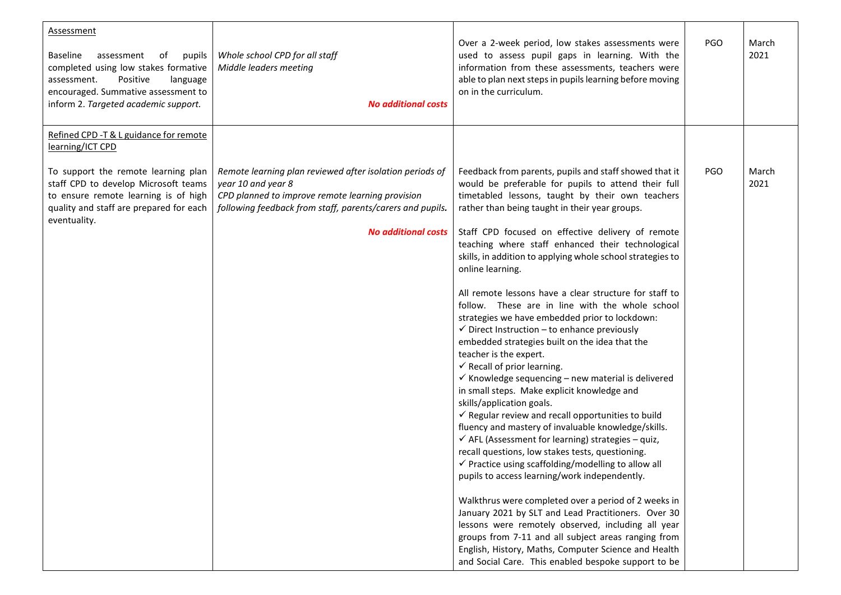| <b>Assessment</b><br><b>Baseline</b><br>assessment<br>of<br>pupils<br>completed using low stakes formative<br>assessment.<br>Positive<br>language<br>encouraged. Summative assessment to<br>inform 2. Targeted academic support. | Whole school CPD for all staff<br>Middle leaders meeting<br><b>No additional costs</b>                                                                                                                                        | Over a 2-week period, low stakes assessments were<br>used to assess pupil gaps in learning. With the<br>information from these assessments, teachers were<br>able to plan next steps in pupils learning before moving<br>on in the curriculum.                                                                                                                                                     | <b>PGO</b> | March<br>2021 |
|----------------------------------------------------------------------------------------------------------------------------------------------------------------------------------------------------------------------------------|-------------------------------------------------------------------------------------------------------------------------------------------------------------------------------------------------------------------------------|----------------------------------------------------------------------------------------------------------------------------------------------------------------------------------------------------------------------------------------------------------------------------------------------------------------------------------------------------------------------------------------------------|------------|---------------|
| Refined CPD - T & L guidance for remote<br>learning/ICT CPD                                                                                                                                                                      |                                                                                                                                                                                                                               |                                                                                                                                                                                                                                                                                                                                                                                                    |            |               |
| To support the remote learning plan<br>staff CPD to develop Microsoft teams<br>to ensure remote learning is of high<br>quality and staff are prepared for each<br>eventuality.                                                   | Remote learning plan reviewed after isolation periods of<br>year 10 and year 8<br>CPD planned to improve remote learning provision<br>following feedback from staff, parents/carers and pupils.<br><b>No additional costs</b> | Feedback from parents, pupils and staff showed that it<br>would be preferable for pupils to attend their full<br>timetabled lessons, taught by their own teachers<br>rather than being taught in their year groups.<br>Staff CPD focused on effective delivery of remote<br>teaching where staff enhanced their technological                                                                      | <b>PGO</b> | March<br>2021 |
|                                                                                                                                                                                                                                  |                                                                                                                                                                                                                               | skills, in addition to applying whole school strategies to<br>online learning.<br>All remote lessons have a clear structure for staff to                                                                                                                                                                                                                                                           |            |               |
|                                                                                                                                                                                                                                  |                                                                                                                                                                                                                               | follow. These are in line with the whole school<br>strategies we have embedded prior to lockdown:<br>$\checkmark$ Direct Instruction - to enhance previously<br>embedded strategies built on the idea that the<br>teacher is the expert.<br>$\checkmark$ Recall of prior learning.<br>$\checkmark$ Knowledge sequencing - new material is delivered<br>in small steps. Make explicit knowledge and |            |               |
|                                                                                                                                                                                                                                  |                                                                                                                                                                                                                               | skills/application goals.<br>$\checkmark$ Regular review and recall opportunities to build<br>fluency and mastery of invaluable knowledge/skills.<br>$\checkmark$ AFL (Assessment for learning) strategies - quiz,<br>recall questions, low stakes tests, questioning.<br>√ Practice using scaffolding/modelling to allow all<br>pupils to access learning/work independently.                     |            |               |
|                                                                                                                                                                                                                                  |                                                                                                                                                                                                                               | Walkthrus were completed over a period of 2 weeks in<br>January 2021 by SLT and Lead Practitioners. Over 30<br>lessons were remotely observed, including all year<br>groups from 7-11 and all subject areas ranging from<br>English, History, Maths, Computer Science and Health<br>and Social Care. This enabled bespoke support to be                                                            |            |               |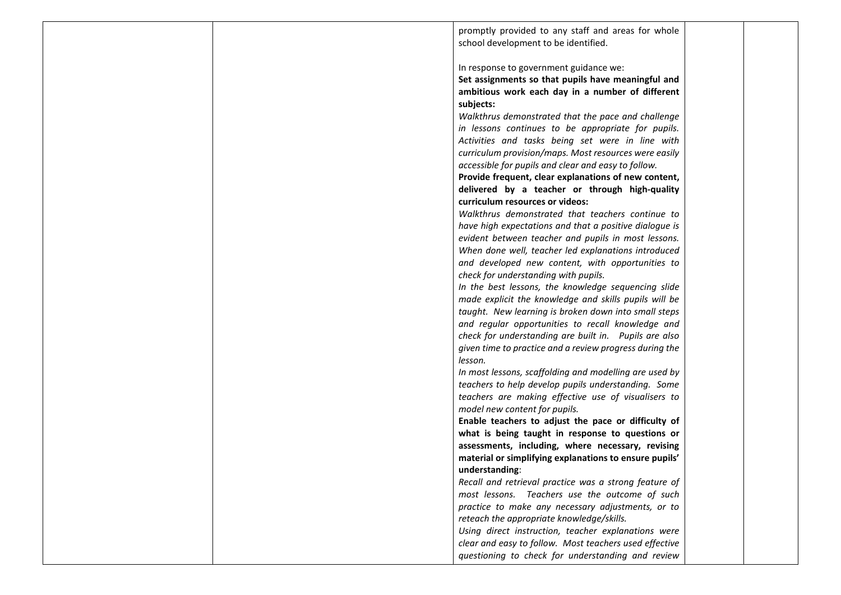promptly provided to any staff and areas for whole school development to be identified.

In response to government guidance we:

**Set assignments so that pupils have meaningful and ambitious work each day in a number of different subjects:**

*Walkthrus demonstrated that the pace and challenge in lessons continues to be appropriate for pupils. Activities and tasks being set were in line with curriculum provision/maps. Most resources were easily accessible for pupils and clear and easy to follow.* 

**Provide frequent, clear explanations of new content, delivered by a teacher or through high-quality curriculum resources or videos:**

*Walkthrus demonstrated that teachers continue to have high expectations and that a positive dialogue is evident between teacher and pupils in most lessons. When done well, teacher led explanations introduced and developed new content, with opportunities to check for understanding with pupils.* 

*In the best lessons, the knowledge sequencing slide made explicit the knowledge and skills pupils will be taught. New learning is broken down into small steps and regular opportunities to recall knowledge and check for understanding are built in. Pupils are also given time to practice and a review progress during the lesson.* 

*In most lessons, scaffolding and modelling are used by teachers to help develop pupils understanding. Some teachers are making effective use of visualisers to model new content for pupils.* 

**Enable teachers to adjust the pace or difficulty of what is being taught in response to questions or assessments, including, where necessary, revising material or simplifying explanations to ensure pupils' understanding**:

*Recall and retrieval practice was a strong feature of most lessons. Teachers use the outcome of such practice to make any necessary adjustments, or to reteach the appropriate knowledge/skills.* 

*Using direct instruction, teacher explanations were clear and easy to follow. Most teachers used effective questioning to check for understanding and review*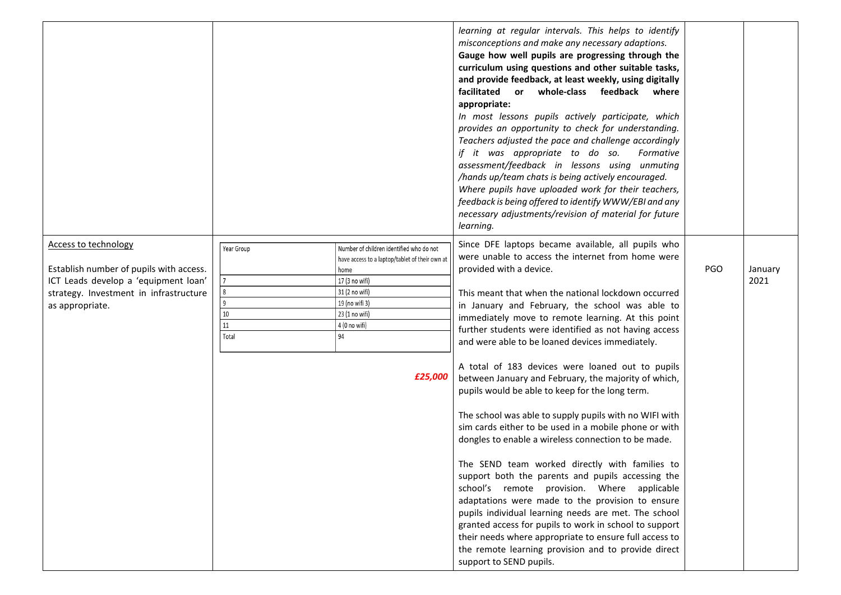|                                                                                                                                                                             |                                           |                                                                                                                                                                                                              | learning at regular intervals. This helps to identify<br>misconceptions and make any necessary adaptions.<br>Gauge how well pupils are progressing through the<br>curriculum using questions and other suitable tasks,<br>and provide feedback, at least weekly, using digitally<br>facilitated or whole-class feedback<br>where<br>appropriate:<br>In most lessons pupils actively participate, which<br>provides an opportunity to check for understanding.<br>Teachers adjusted the pace and challenge accordingly<br>if it was appropriate to do so.<br>Formative<br>assessment/feedback in lessons using unmuting<br>/hands up/team chats is being actively encouraged.<br>Where pupils have uploaded work for their teachers,<br>feedback is being offered to identify WWW/EBI and any<br>necessary adjustments/revision of material for future<br>learning.                                                                                                                                                                                                                                                                                                                                                              |            |                 |
|-----------------------------------------------------------------------------------------------------------------------------------------------------------------------------|-------------------------------------------|--------------------------------------------------------------------------------------------------------------------------------------------------------------------------------------------------------------|---------------------------------------------------------------------------------------------------------------------------------------------------------------------------------------------------------------------------------------------------------------------------------------------------------------------------------------------------------------------------------------------------------------------------------------------------------------------------------------------------------------------------------------------------------------------------------------------------------------------------------------------------------------------------------------------------------------------------------------------------------------------------------------------------------------------------------------------------------------------------------------------------------------------------------------------------------------------------------------------------------------------------------------------------------------------------------------------------------------------------------------------------------------------------------------------------------------------------------|------------|-----------------|
| <b>Access to technology</b><br>Establish number of pupils with access.<br>ICT Leads develop a 'equipment loan'<br>strategy. Investment in infrastructure<br>as appropriate. | Year Group<br>8<br>9<br>10<br>11<br>Total | Number of children identified who do not<br>have access to a laptop/tablet of their own at<br>home<br>17 (3 no wifi)<br>31 (2 no wifi)<br>19 (no wifi 3)<br>23 (1 no wifi)<br>4 (0 no wifi)<br>94<br>£25,000 | Since DFE laptops became available, all pupils who<br>were unable to access the internet from home were<br>provided with a device.<br>This meant that when the national lockdown occurred<br>in January and February, the school was able to<br>immediately move to remote learning. At this point<br>further students were identified as not having access<br>and were able to be loaned devices immediately.<br>A total of 183 devices were loaned out to pupils<br>between January and February, the majority of which,<br>pupils would be able to keep for the long term.<br>The school was able to supply pupils with no WIFI with<br>sim cards either to be used in a mobile phone or with<br>dongles to enable a wireless connection to be made.<br>The SEND team worked directly with families to<br>support both the parents and pupils accessing the<br>school's remote provision. Where applicable<br>adaptations were made to the provision to ensure<br>pupils individual learning needs are met. The school<br>granted access for pupils to work in school to support<br>their needs where appropriate to ensure full access to<br>the remote learning provision and to provide direct<br>support to SEND pupils. | <b>PGO</b> | January<br>2021 |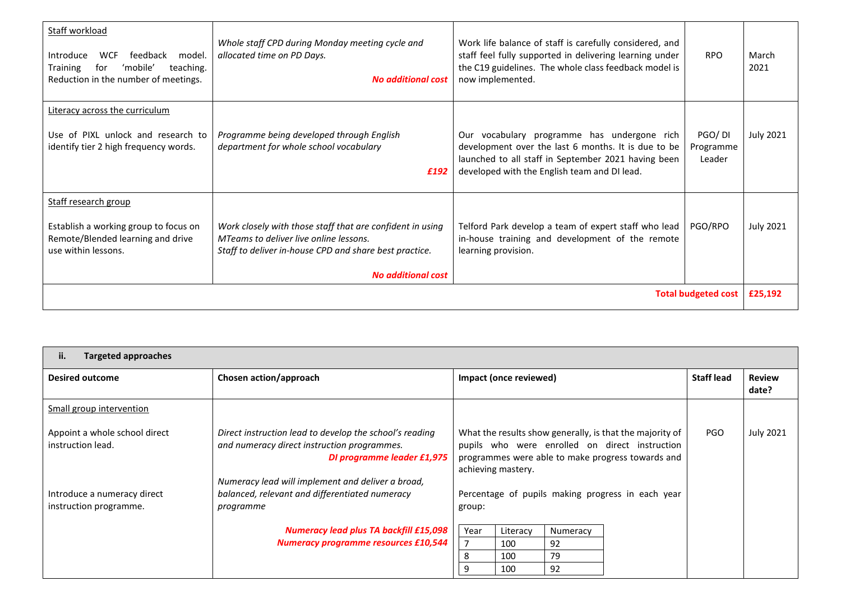| Staff workload<br><b>WCF</b><br>Introduce<br>feedback<br>model.<br>'mobile'<br>teaching.<br><b>Training</b><br>for<br>Reduction in the number of meetings. | Whole staff CPD during Monday meeting cycle and<br>allocated time on PD Days.<br><b>No additional cost</b>                                                                                 | Work life balance of staff is carefully considered, and<br>staff feel fully supported in delivering learning under<br>the C19 guidelines. The whole class feedback model is<br>now implemented.           | <b>RPO</b>                    | March<br>2021    |
|------------------------------------------------------------------------------------------------------------------------------------------------------------|--------------------------------------------------------------------------------------------------------------------------------------------------------------------------------------------|-----------------------------------------------------------------------------------------------------------------------------------------------------------------------------------------------------------|-------------------------------|------------------|
| Literacy across the curriculum<br>Use of PIXL unlock and research to<br>identify tier 2 high frequency words.                                              | Programme being developed through English<br>department for whole school vocabulary<br>£192                                                                                                | Our vocabulary programme has undergone rich<br>development over the last 6 months. It is due to be<br>launched to all staff in September 2021 having been<br>developed with the English team and DI lead. | PGO/DI<br>Programme<br>Leader | <b>July 2021</b> |
| Staff research group<br>Establish a working group to focus on<br>Remote/Blended learning and drive<br>use within lessons.                                  | Work closely with those staff that are confident in using<br>MTeams to deliver live online lessons.<br>Staff to deliver in-house CPD and share best practice.<br><b>No additional cost</b> | Telford Park develop a team of expert staff who lead<br>in-house training and development of the remote<br>learning provision.                                                                            | PGO/RPO                       | <b>July 2021</b> |
|                                                                                                                                                            |                                                                                                                                                                                            |                                                                                                                                                                                                           | <b>Total budgeted cost</b>    | £25,192          |

| ii.<br><b>Targeted approaches</b>                  |                                                                                                                                      |                                                             |                        |          |                                                                                                                                                                 |                   |                        |
|----------------------------------------------------|--------------------------------------------------------------------------------------------------------------------------------------|-------------------------------------------------------------|------------------------|----------|-----------------------------------------------------------------------------------------------------------------------------------------------------------------|-------------------|------------------------|
| <b>Desired outcome</b>                             | Chosen action/approach                                                                                                               |                                                             | Impact (once reviewed) |          |                                                                                                                                                                 | <b>Staff lead</b> | <b>Review</b><br>date? |
| Small group intervention                           |                                                                                                                                      |                                                             |                        |          |                                                                                                                                                                 |                   |                        |
| Appoint a whole school direct<br>instruction lead. | Direct instruction lead to develop the school's reading<br>and numeracy direct instruction programmes.<br>DI programme leader £1,975 |                                                             | achieving mastery.     |          | What the results show generally, is that the majority of<br>pupils who were enrolled on direct instruction<br>programmes were able to make progress towards and | PGO               | <b>July 2021</b>       |
| Introduce a numeracy direct                        | Numeracy lead will implement and deliver a broad,<br>balanced, relevant and differentiated numeracy                                  |                                                             |                        |          |                                                                                                                                                                 |                   |                        |
| instruction programme.                             | programme                                                                                                                            | Percentage of pupils making progress in each year<br>group: |                        |          |                                                                                                                                                                 |                   |                        |
|                                                    | <b>Numeracy lead plus TA backfill £15,098</b>                                                                                        | Year                                                        | Literacy               | Numeracy |                                                                                                                                                                 |                   |                        |
|                                                    | <b>Numeracy programme resources £10,544</b>                                                                                          |                                                             | 100                    | 92       |                                                                                                                                                                 |                   |                        |
|                                                    |                                                                                                                                      | 8                                                           | 100                    | 79       |                                                                                                                                                                 |                   |                        |
|                                                    |                                                                                                                                      | q                                                           | 100                    | 92       |                                                                                                                                                                 |                   |                        |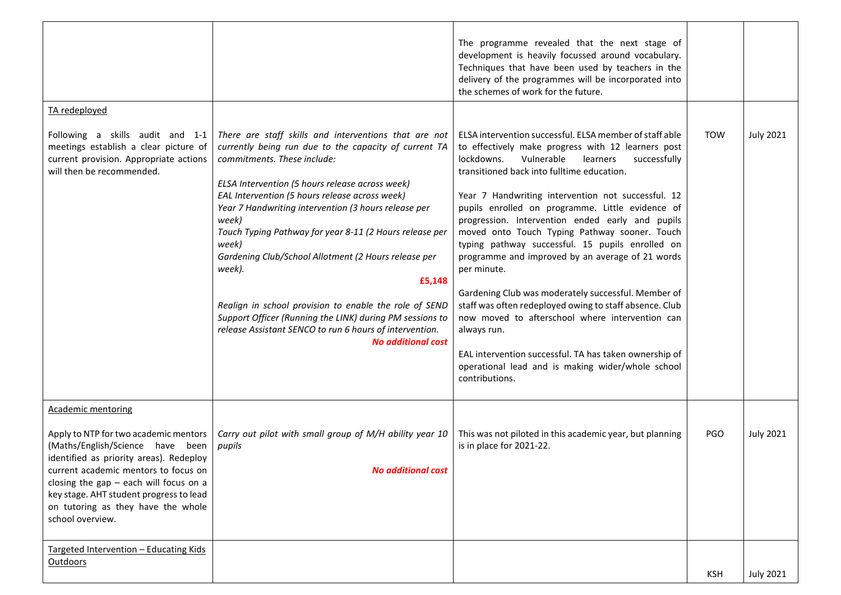| TA redeployed                                                                                                                                                                                                                                                                                                 |                                                                                                                                                                                                                                                                                                                                                                                                                                                                                                                                                                                                                                                                                   | The programme revealed that the next stage of<br>development is heavily focussed around vocabulary.<br>Techniques that have been used by teachers in the<br>delivery of the programmes will be incorporated into<br>the schemes of work for the future.                                                                                                                                                                                                                                                                                                                                                                                                                                                                                                                                                                                                                        |            |                  |
|---------------------------------------------------------------------------------------------------------------------------------------------------------------------------------------------------------------------------------------------------------------------------------------------------------------|-----------------------------------------------------------------------------------------------------------------------------------------------------------------------------------------------------------------------------------------------------------------------------------------------------------------------------------------------------------------------------------------------------------------------------------------------------------------------------------------------------------------------------------------------------------------------------------------------------------------------------------------------------------------------------------|--------------------------------------------------------------------------------------------------------------------------------------------------------------------------------------------------------------------------------------------------------------------------------------------------------------------------------------------------------------------------------------------------------------------------------------------------------------------------------------------------------------------------------------------------------------------------------------------------------------------------------------------------------------------------------------------------------------------------------------------------------------------------------------------------------------------------------------------------------------------------------|------------|------------------|
| Following a skills audit and 1-1<br>meetings establish a clear picture of<br>current provision. Appropriate actions<br>will then be recommended.                                                                                                                                                              | There are staff skills and interventions that are not<br>currently being run due to the capacity of current TA<br>commitments. These include:<br>ELSA Intervention (5 hours release across week)<br>EAL Intervention (5 hours release across week)<br>Year 7 Handwriting intervention (3 hours release per<br>week)<br>Touch Typing Pathway for year 8-11 (2 Hours release per<br>week)<br>Gardening Club/School Allotment (2 Hours release per<br>week).<br>£5,148<br>Realign in school provision to enable the role of SEND<br>Support Officer (Running the LINK) during PM sessions to<br>release Assistant SENCO to run 6 hours of intervention.<br><b>No additional cost</b> | ELSA intervention successful. ELSA member of staff able<br>to effectively make progress with 12 learners post<br>Vulnerable<br>lockdowns.<br>learners<br>successfully<br>transitioned back into fulltime education.<br>Year 7 Handwriting intervention not successful. 12<br>pupils enrolled on programme. Little evidence of<br>progression. Intervention ended early and pupils<br>moved onto Touch Typing Pathway sooner. Touch<br>typing pathway successful. 15 pupils enrolled on<br>programme and improved by an average of 21 words<br>per minute.<br>Gardening Club was moderately successful. Member of<br>staff was often redeployed owing to staff absence. Club<br>now moved to afterschool where intervention can<br>always run.<br>EAL intervention successful. TA has taken ownership of<br>operational lead and is making wider/whole school<br>contributions. | TOW        | <b>July 2021</b> |
| <b>Academic mentoring</b>                                                                                                                                                                                                                                                                                     |                                                                                                                                                                                                                                                                                                                                                                                                                                                                                                                                                                                                                                                                                   |                                                                                                                                                                                                                                                                                                                                                                                                                                                                                                                                                                                                                                                                                                                                                                                                                                                                                |            |                  |
| Apply to NTP for two academic mentors<br>(Maths/English/Science have been<br>identified as priority areas). Redeploy<br>current academic mentors to focus on<br>closing the gap $-$ each will focus on a<br>key stage. AHT student progress to lead<br>on tutoring as they have the whole<br>school overview. | Carry out pilot with small group of M/H ability year 10<br>pupils<br><b>No additional cost</b>                                                                                                                                                                                                                                                                                                                                                                                                                                                                                                                                                                                    | This was not piloted in this academic year, but planning<br>is in place for 2021-22.                                                                                                                                                                                                                                                                                                                                                                                                                                                                                                                                                                                                                                                                                                                                                                                           | <b>PGO</b> | <b>July 2021</b> |
| Targeted Intervention - Educating Kids<br>Outdoors                                                                                                                                                                                                                                                            |                                                                                                                                                                                                                                                                                                                                                                                                                                                                                                                                                                                                                                                                                   |                                                                                                                                                                                                                                                                                                                                                                                                                                                                                                                                                                                                                                                                                                                                                                                                                                                                                | <b>KSH</b> | <b>July 2021</b> |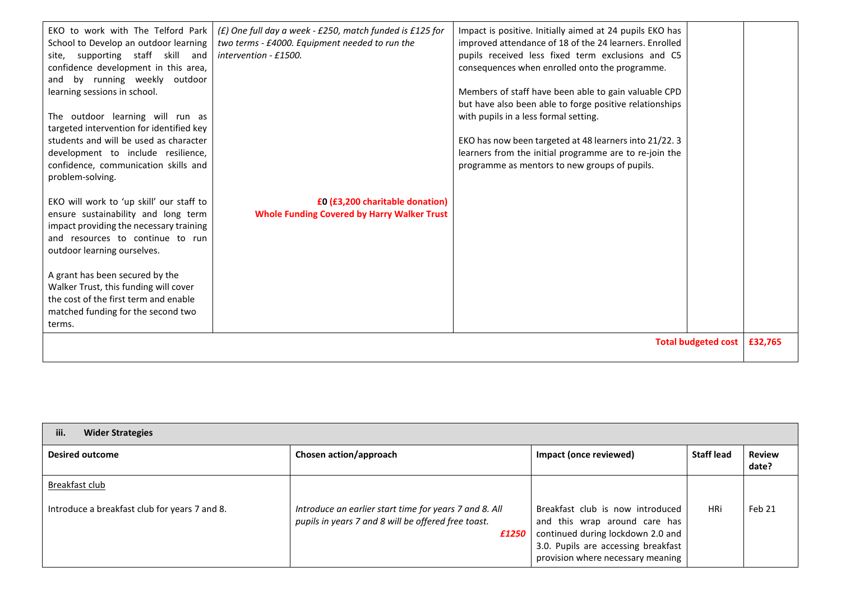| EKO to work with The Telford Park  <br>School to Develop an outdoor learning<br>site, supporting staff skill<br>and<br>confidence development in this area,<br>and by running weekly outdoor<br>learning sessions in school.<br>The outdoor learning will run as<br>targeted intervention for identified key<br>students and will be used as character<br>development to include resilience,<br>confidence, communication skills and<br>problem-solving. | (£) One full day a week - £250, match funded is £125 for<br>two terms - £4000. Equipment needed to run the<br>intervention - £1500. | Impact is positive. Initially aimed at 24 pupils EKO has<br>improved attendance of 18 of the 24 learners. Enrolled<br>pupils received less fixed term exclusions and C5<br>consequences when enrolled onto the programme.<br>Members of staff have been able to gain valuable CPD<br>but have also been able to forge positive relationships<br>with pupils in a less formal setting.<br>EKO has now been targeted at 48 learners into 21/22. 3<br>learners from the initial programme are to re-join the<br>programme as mentors to new groups of pupils. |                            |         |
|----------------------------------------------------------------------------------------------------------------------------------------------------------------------------------------------------------------------------------------------------------------------------------------------------------------------------------------------------------------------------------------------------------------------------------------------------------|-------------------------------------------------------------------------------------------------------------------------------------|------------------------------------------------------------------------------------------------------------------------------------------------------------------------------------------------------------------------------------------------------------------------------------------------------------------------------------------------------------------------------------------------------------------------------------------------------------------------------------------------------------------------------------------------------------|----------------------------|---------|
| EKO will work to 'up skill' our staff to<br>ensure sustainability and long term<br>impact providing the necessary training<br>and resources to continue to run<br>outdoor learning ourselves.<br>A grant has been secured by the<br>Walker Trust, this funding will cover<br>the cost of the first term and enable<br>matched funding for the second two<br>terms.                                                                                       | £0 (£3,200 charitable donation)<br><b>Whole Funding Covered by Harry Walker Trust</b>                                               |                                                                                                                                                                                                                                                                                                                                                                                                                                                                                                                                                            |                            |         |
|                                                                                                                                                                                                                                                                                                                                                                                                                                                          |                                                                                                                                     |                                                                                                                                                                                                                                                                                                                                                                                                                                                                                                                                                            | <b>Total budgeted cost</b> | £32,765 |

| iii.<br><b>Wider Strategies</b>               |                                                                                                                        |                                                                                                                                                                                    |                   |                        |  |  |  |
|-----------------------------------------------|------------------------------------------------------------------------------------------------------------------------|------------------------------------------------------------------------------------------------------------------------------------------------------------------------------------|-------------------|------------------------|--|--|--|
| <b>Desired outcome</b>                        | Chosen action/approach                                                                                                 | Impact (once reviewed)                                                                                                                                                             | <b>Staff lead</b> | <b>Review</b><br>date? |  |  |  |
| Breakfast club                                |                                                                                                                        |                                                                                                                                                                                    |                   |                        |  |  |  |
| Introduce a breakfast club for years 7 and 8. | Introduce an earlier start time for years 7 and 8. All<br>pupils in years 7 and 8 will be offered free toast.<br>£1250 | Breakfast club is now introduced<br>and this wrap around care has<br>continued during lockdown 2.0 and<br>3.0. Pupils are accessing breakfast<br>provision where necessary meaning | HRi               | Feb 21                 |  |  |  |